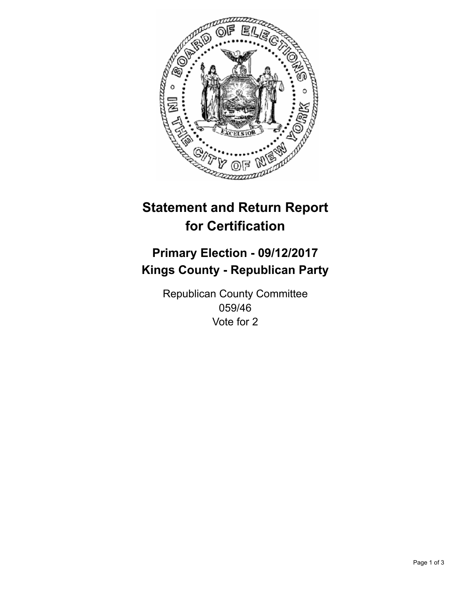

## **Statement and Return Report for Certification**

## **Primary Election - 09/12/2017 Kings County - Republican Party**

Republican County Committee 059/46 Vote for 2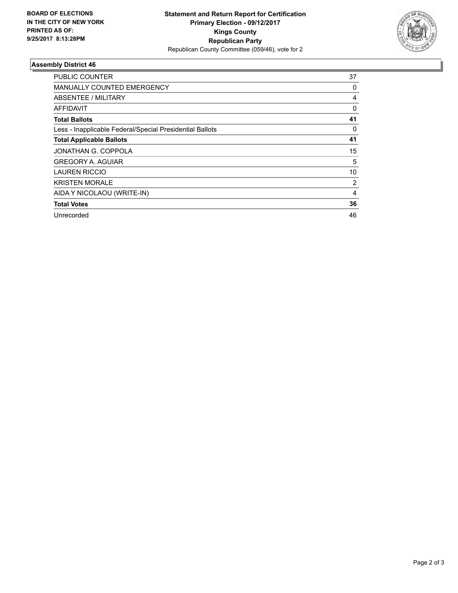

## **Assembly District 46**

| <b>PUBLIC COUNTER</b>                                    | 37 |
|----------------------------------------------------------|----|
| <b>MANUALLY COUNTED EMERGENCY</b>                        | 0  |
| ABSENTEE / MILITARY                                      | 4  |
| <b>AFFIDAVIT</b>                                         | 0  |
| <b>Total Ballots</b>                                     | 41 |
| Less - Inapplicable Federal/Special Presidential Ballots | 0  |
| <b>Total Applicable Ballots</b>                          | 41 |
| JONATHAN G. COPPOLA                                      | 15 |
| <b>GREGORY A. AGUIAR</b>                                 | 5  |
| <b>LAUREN RICCIO</b>                                     | 10 |
| <b>KRISTEN MORALE</b>                                    | 2  |
| AIDA Y NICOLAOU (WRITE-IN)                               | 4  |
| <b>Total Votes</b>                                       | 36 |
| Unrecorded                                               | 46 |